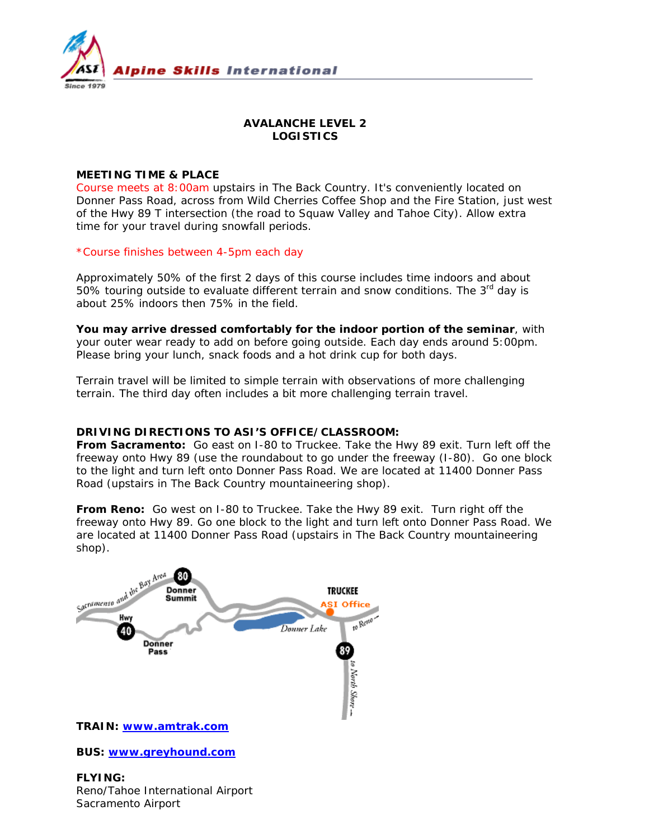

# **AVALANCHE LEVEL 2 LOGISTICS**

## **MEETING TIME & PLACE**

Course meets at 8:00am upstairs in The Back Country. It's conveniently located on Donner Pass Road, across from Wild Cherries Coffee Shop and the Fire Station, just west of the Hwy 89 T intersection (the road to Squaw Valley and Tahoe City). Allow extra time for your travel during snowfall periods.

\*Course finishes between 4-5pm each day

Approximately 50% of the first 2 days of this course includes time indoors and about 50% touring outside to evaluate different terrain and snow conditions. The  $3^{rd}$  day is about 25% indoors then 75% in the field.

**You may arrive dressed comfortably for the indoor portion of the seminar**, with your outer wear ready to add on before going outside. Each day ends around 5:00pm. Please bring your lunch, snack foods and a hot drink cup for both days.

Terrain travel will be limited to simple terrain with observations of more challenging terrain. The third day often includes a bit more challenging terrain travel.

## **DRIVING DIRECTIONS TO ASI'S OFFICE/CLASSROOM:**

**From Sacramento:** Go east on I-80 to Truckee. Take the Hwy 89 exit. Turn left off the freeway onto Hwy 89 (use the roundabout to go under the freeway (I-80). Go one block to the light and turn left onto Donner Pass Road. We are located at 11400 Donner Pass Road (upstairs in The Back Country mountaineering shop).

**From Reno:** Go west on I-80 to Truckee. Take the Hwy 89 exit. Turn right off the freeway onto Hwy 89. Go one block to the light and turn left onto Donner Pass Road. We are located at 11400 Donner Pass Road (upstairs in The Back Country mountaineering shop).



**BUS: www.greyhound.com**

# **FLYING:**  Reno/Tahoe International Airport Sacramento Airport